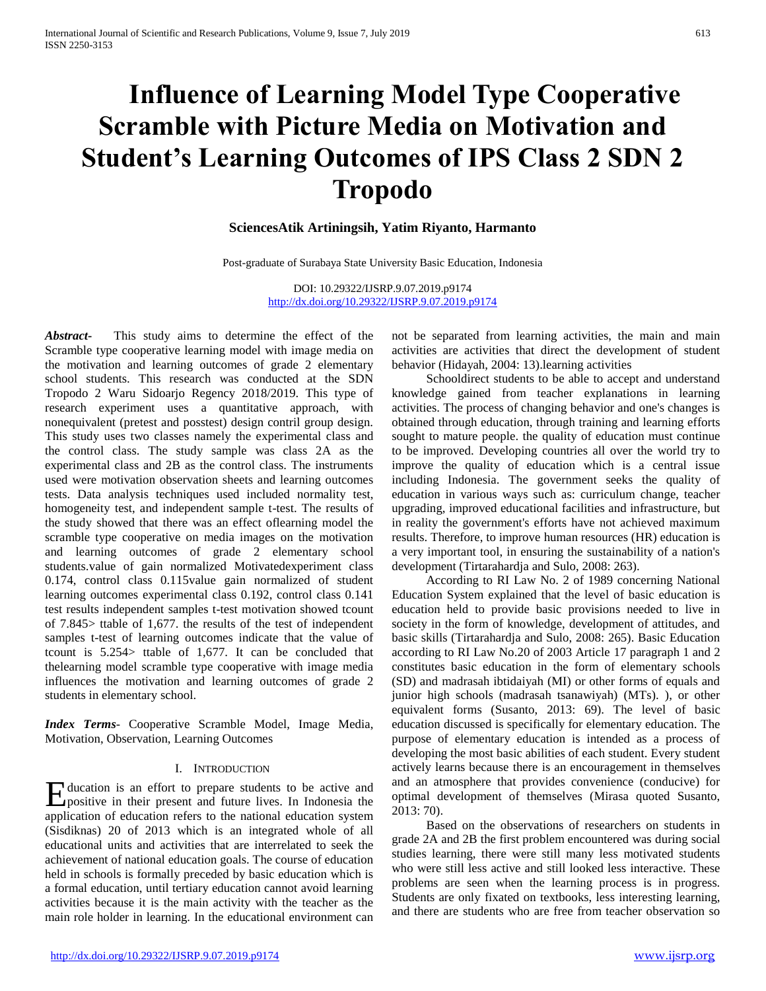# **Influence of Learning Model Type Cooperative Scramble with Picture Media on Motivation and Student's Learning Outcomes of IPS Class 2 SDN 2 Tropodo**

# **SciencesAtik Artiningsih, Yatim Riyanto, Harmanto**

Post-graduate of Surabaya State University Basic Education, Indonesia

DOI: 10.29322/IJSRP.9.07.2019.p9174 <http://dx.doi.org/10.29322/IJSRP.9.07.2019.p9174>

*Abstract***-** This study aims to determine the effect of the Scramble type cooperative learning model with image media on the motivation and learning outcomes of grade 2 elementary school students. This research was conducted at the SDN Tropodo 2 Waru Sidoarjo Regency 2018/2019. This type of research experiment uses a quantitative approach, with nonequivalent (pretest and posstest) design contril group design. This study uses two classes namely the experimental class and the control class. The study sample was class 2A as the experimental class and 2B as the control class. The instruments used were motivation observation sheets and learning outcomes tests. Data analysis techniques used included normality test, homogeneity test, and independent sample t-test. The results of the study showed that there was an effect oflearning model the scramble type cooperative on media images on the motivation and learning outcomes of grade 2 elementary school students.value of gain normalized Motivatedexperiment class 0.174, control class 0.115value gain normalized of student learning outcomes experimental class 0.192, control class 0.141 test results independent samples t-test motivation showed tcount of 7.845> ttable of 1,677. the results of the test of independent samples t-test of learning outcomes indicate that the value of tcount is 5.254> ttable of 1,677. It can be concluded that thelearning model scramble type cooperative with image media influences the motivation and learning outcomes of grade 2 students in elementary school.

*Index Terms*- Cooperative Scramble Model, Image Media, Motivation, Observation, Learning Outcomes

## I. INTRODUCTION

ducation is an effort to prepare students to be active and Holucation is an effort to prepare students to be active and positive in their present and future lives. In Indonesia the application of education refers to the national education system (Sisdiknas) 20 of 2013 which is an integrated whole of all educational units and activities that are interrelated to seek the achievement of national education goals. The course of education held in schools is formally preceded by basic education which is a formal education, until tertiary education cannot avoid learning activities because it is the main activity with the teacher as the main role holder in learning. In the educational environment can

not be separated from learning activities, the main and main activities are activities that direct the development of student behavior (Hidayah, 2004: 13).learning activities

 Schooldirect students to be able to accept and understand knowledge gained from teacher explanations in learning activities. The process of changing behavior and one's changes is obtained through education, through training and learning efforts sought to mature people. the quality of education must continue to be improved. Developing countries all over the world try to improve the quality of education which is a central issue including Indonesia. The government seeks the quality of education in various ways such as: curriculum change, teacher upgrading, improved educational facilities and infrastructure, but in reality the government's efforts have not achieved maximum results. Therefore, to improve human resources (HR) education is a very important tool, in ensuring the sustainability of a nation's development (Tirtarahardja and Sulo, 2008: 263).

 According to RI Law No. 2 of 1989 concerning National Education System explained that the level of basic education is education held to provide basic provisions needed to live in society in the form of knowledge, development of attitudes, and basic skills (Tirtarahardja and Sulo, 2008: 265). Basic Education according to RI Law No.20 of 2003 Article 17 paragraph 1 and 2 constitutes basic education in the form of elementary schools (SD) and madrasah ibtidaiyah (MI) or other forms of equals and junior high schools (madrasah tsanawiyah) (MTs). ), or other equivalent forms (Susanto, 2013: 69). The level of basic education discussed is specifically for elementary education. The purpose of elementary education is intended as a process of developing the most basic abilities of each student. Every student actively learns because there is an encouragement in themselves and an atmosphere that provides convenience (conducive) for optimal development of themselves (Mirasa quoted Susanto, 2013: 70).

 Based on the observations of researchers on students in grade 2A and 2B the first problem encountered was during social studies learning, there were still many less motivated students who were still less active and still looked less interactive. These problems are seen when the learning process is in progress. Students are only fixated on textbooks, less interesting learning, and there are students who are free from teacher observation so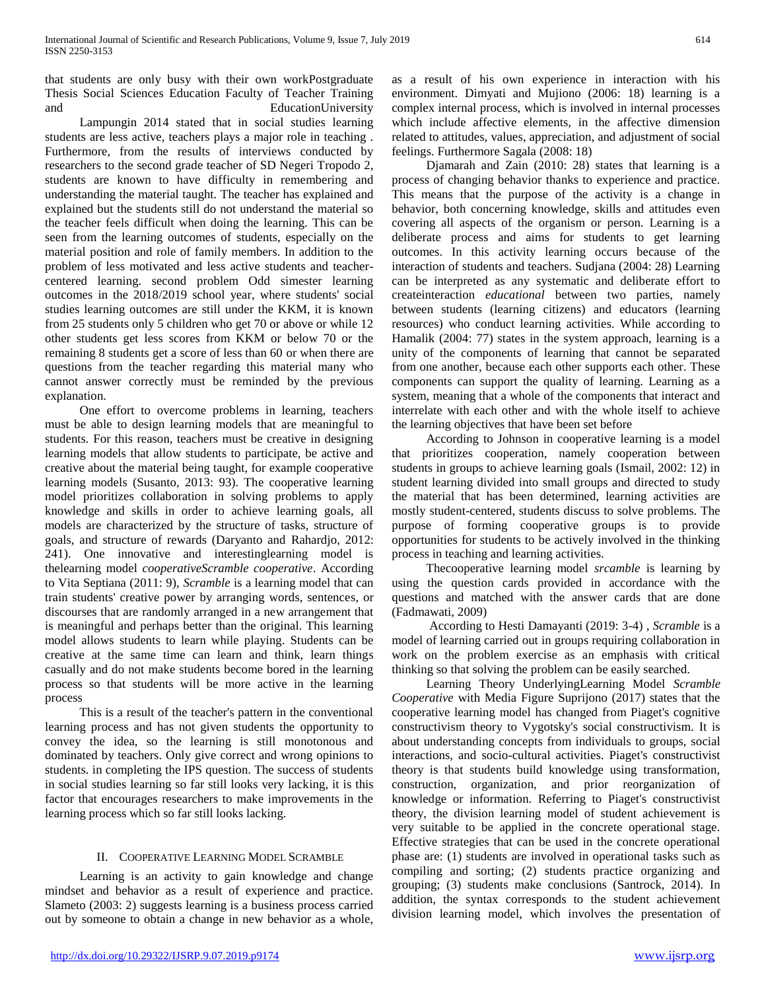that students are only busy with their own workPostgraduate Thesis Social Sciences Education Faculty of Teacher Training and EducationUniversity

 Lampungin 2014 stated that in social studies learning students are less active, teachers plays a major role in teaching . Furthermore, from the results of interviews conducted by researchers to the second grade teacher of SD Negeri Tropodo 2, students are known to have difficulty in remembering and understanding the material taught. The teacher has explained and explained but the students still do not understand the material so the teacher feels difficult when doing the learning. This can be seen from the learning outcomes of students, especially on the material position and role of family members. In addition to the problem of less motivated and less active students and teachercentered learning. second problem Odd simester learning outcomes in the 2018/2019 school year, where students' social studies learning outcomes are still under the KKM, it is known from 25 students only 5 children who get 70 or above or while 12 other students get less scores from KKM or below 70 or the remaining 8 students get a score of less than 60 or when there are questions from the teacher regarding this material many who cannot answer correctly must be reminded by the previous explanation.

 One effort to overcome problems in learning, teachers must be able to design learning models that are meaningful to students. For this reason, teachers must be creative in designing learning models that allow students to participate, be active and creative about the material being taught, for example cooperative learning models (Susanto, 2013: 93). The cooperative learning model prioritizes collaboration in solving problems to apply knowledge and skills in order to achieve learning goals, all models are characterized by the structure of tasks, structure of goals, and structure of rewards (Daryanto and Rahardjo, 2012: 241). One innovative and interestinglearning model is thelearning model *cooperativeScramble cooperative*. According to Vita Septiana (2011: 9), *Scramble* is a learning model that can train students' creative power by arranging words, sentences, or discourses that are randomly arranged in a new arrangement that is meaningful and perhaps better than the original. This learning model allows students to learn while playing. Students can be creative at the same time can learn and think, learn things casually and do not make students become bored in the learning process so that students will be more active in the learning process

 This is a result of the teacher's pattern in the conventional learning process and has not given students the opportunity to convey the idea, so the learning is still monotonous and dominated by teachers. Only give correct and wrong opinions to students. in completing the IPS question. The success of students in social studies learning so far still looks very lacking, it is this factor that encourages researchers to make improvements in the learning process which so far still looks lacking.

## II. COOPERATIVE LEARNING MODEL SCRAMBLE

 Learning is an activity to gain knowledge and change mindset and behavior as a result of experience and practice. Slameto (2003: 2) suggests learning is a business process carried out by someone to obtain a change in new behavior as a whole,

as a result of his own experience in interaction with his environment. Dimyati and Mujiono (2006: 18) learning is a complex internal process, which is involved in internal processes which include affective elements, in the affective dimension related to attitudes, values, appreciation, and adjustment of social feelings. Furthermore Sagala (2008: 18)

 Djamarah and Zain (2010: 28) states that learning is a process of changing behavior thanks to experience and practice. This means that the purpose of the activity is a change in behavior, both concerning knowledge, skills and attitudes even covering all aspects of the organism or person. Learning is a deliberate process and aims for students to get learning outcomes. In this activity learning occurs because of the interaction of students and teachers. Sudjana (2004: 28) Learning can be interpreted as any systematic and deliberate effort to createinteraction *educational* between two parties, namely between students (learning citizens) and educators (learning resources) who conduct learning activities. While according to Hamalik (2004: 77) states in the system approach, learning is a unity of the components of learning that cannot be separated from one another, because each other supports each other. These components can support the quality of learning. Learning as a system, meaning that a whole of the components that interact and interrelate with each other and with the whole itself to achieve the learning objectives that have been set before

 According to Johnson in cooperative learning is a model that prioritizes cooperation, namely cooperation between students in groups to achieve learning goals (Ismail, 2002: 12) in student learning divided into small groups and directed to study the material that has been determined, learning activities are mostly student-centered, students discuss to solve problems. The purpose of forming cooperative groups is to provide opportunities for students to be actively involved in the thinking process in teaching and learning activities.

 Thecooperative learning model *srcamble* is learning by using the question cards provided in accordance with the questions and matched with the answer cards that are done (Fadmawati, 2009)

 According to Hesti Damayanti (2019: 3-4) *, Scramble* is a model of learning carried out in groups requiring collaboration in work on the problem exercise as an emphasis with critical thinking so that solving the problem can be easily searched.

 Learning Theory UnderlyingLearning Model *Scramble Cooperative* with Media Figure Suprijono (2017) states that the cooperative learning model has changed from Piaget's cognitive constructivism theory to Vygotsky's social constructivism. It is about understanding concepts from individuals to groups, social interactions, and socio-cultural activities. Piaget's constructivist theory is that students build knowledge using transformation, construction, organization, and prior reorganization of knowledge or information. Referring to Piaget's constructivist theory, the division learning model of student achievement is very suitable to be applied in the concrete operational stage. Effective strategies that can be used in the concrete operational phase are: (1) students are involved in operational tasks such as compiling and sorting; (2) students practice organizing and grouping; (3) students make conclusions (Santrock, 2014). In addition, the syntax corresponds to the student achievement division learning model, which involves the presentation of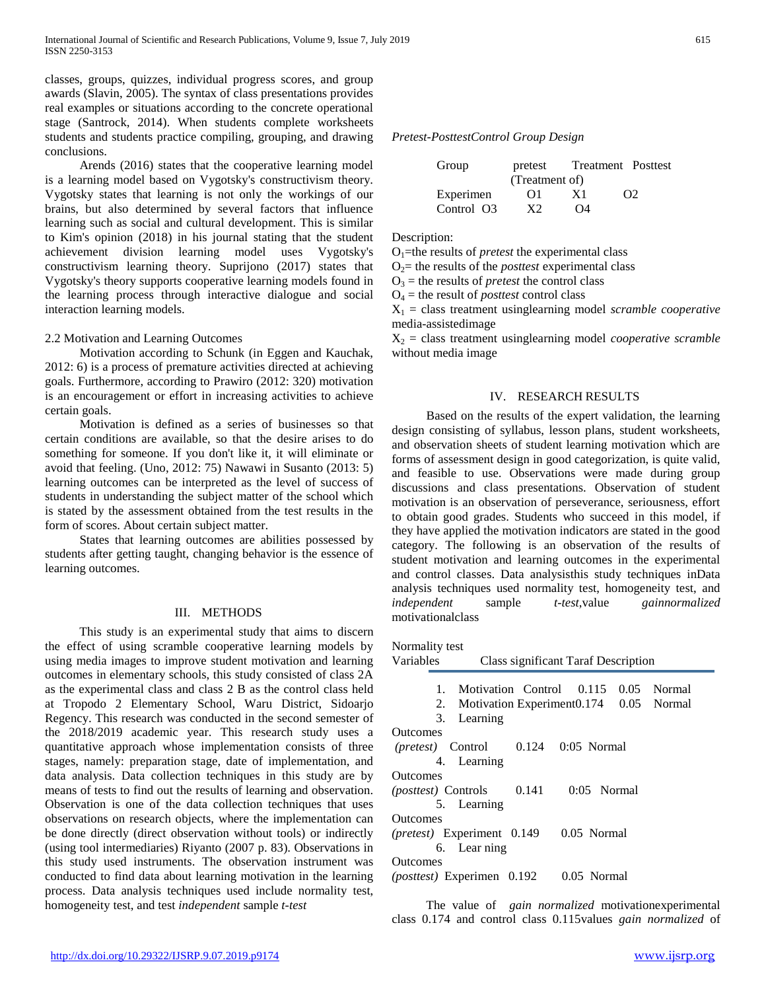classes, groups, quizzes, individual progress scores, and group awards (Slavin, 2005). The syntax of class presentations provides real examples or situations according to the concrete operational stage (Santrock, 2014). When students complete worksheets students and students practice compiling, grouping, and drawing conclusions.

 Arends (2016) states that the cooperative learning model is a learning model based on Vygotsky's constructivism theory. Vygotsky states that learning is not only the workings of our brains, but also determined by several factors that influence learning such as social and cultural development. This is similar to Kim's opinion (2018) in his journal stating that the student achievement division learning model uses Vygotsky's constructivism learning theory. Suprijono (2017) states that Vygotsky's theory supports cooperative learning models found in the learning process through interactive dialogue and social interaction learning models.

#### 2.2 Motivation and Learning Outcomes

 Motivation according to Schunk (in Eggen and Kauchak, 2012: 6) is a process of premature activities directed at achieving goals. Furthermore, according to Prawiro (2012: 320) motivation is an encouragement or effort in increasing activities to achieve certain goals.

 Motivation is defined as a series of businesses so that certain conditions are available, so that the desire arises to do something for someone. If you don't like it, it will eliminate or avoid that feeling. (Uno, 2012: 75) Nawawi in Susanto (2013: 5) learning outcomes can be interpreted as the level of success of students in understanding the subject matter of the school which is stated by the assessment obtained from the test results in the form of scores. About certain subject matter.

 States that learning outcomes are abilities possessed by students after getting taught, changing behavior is the essence of learning outcomes.

#### III. METHODS

 This study is an experimental study that aims to discern the effect of using scramble cooperative learning models by using media images to improve student motivation and learning outcomes in elementary schools, this study consisted of class 2A as the experimental class and class 2 B as the control class held at Tropodo 2 Elementary School, Waru District, Sidoarjo Regency. This research was conducted in the second semester of the 2018/2019 academic year. This research study uses a quantitative approach whose implementation consists of three stages, namely: preparation stage, date of implementation, and data analysis. Data collection techniques in this study are by means of tests to find out the results of learning and observation. Observation is one of the data collection techniques that uses observations on research objects, where the implementation can be done directly (direct observation without tools) or indirectly (using tool intermediaries) Riyanto (2007 p. 83). Observations in this study used instruments. The observation instrument was conducted to find data about learning motivation in the learning process. Data analysis techniques used include normality test, homogeneity test, and test *independent* sample *t-test*

#### *Pretest-PosttestControl Group Design*

| Group      | pretest        |    | Treatment Posttest |  |  |  |  |
|------------|----------------|----|--------------------|--|--|--|--|
|            | (Treatment of) |    |                    |  |  |  |  |
| Experimen  | O1             | X1 | $\Omega$           |  |  |  |  |
| Control O3 | xາ             | O4 |                    |  |  |  |  |

Description:

O1=the results of *pretest* the experimental class

 $O<sub>2</sub>=$  the results of the *posttest* experimental class

 $O_3$  = the results of *pretest* the control class

 $O_4$  = the result of *posttest* control class

X<sup>1</sup> = class treatment usinglearning model *scramble cooperative* media-assistedimage

X<sup>2</sup> = class treatment usinglearning model *cooperative scramble* without media image

#### IV. RESEARCH RESULTS

 Based on the results of the expert validation, the learning design consisting of syllabus, lesson plans, student worksheets, and observation sheets of student learning motivation which are forms of assessment design in good categorization, is quite valid, and feasible to use. Observations were made during group discussions and class presentations. Observation of student motivation is an observation of perseverance, seriousness, effort to obtain good grades. Students who succeed in this model, if they have applied the motivation indicators are stated in the good category. The following is an observation of the results of student motivation and learning outcomes in the experimental and control classes. Data analysisthis study techniques inData analysis techniques used normality test, homogeneity test, and *independent* sample *t-test*,value *gainnormalized* motivationalclass

| Normality test                                       |
|------------------------------------------------------|
| Variables<br>Class significant Taraf Description     |
|                                                      |
| Motivation Control 0.115 0.05 Normal<br>1            |
| Motivation Experiment0.174 0.05 Normal<br>2.         |
| Learning<br>3.                                       |
| Outcomes                                             |
| (pretest) Control 0.124 0:05 Normal                  |
| 4. Learning                                          |
| <b>Outcomes</b>                                      |
| $0:05$ Normal<br>0.141<br><i>(posttest)</i> Controls |
| 5. Learning                                          |
| <b>Outcomes</b>                                      |
| (pretest) Experiment 0.149<br>0.05 Normal            |
| 6. Lear ning                                         |
| <b>Outcomes</b>                                      |
| 0.05 Normal<br>(posttest) Experimen 0.192            |
|                                                      |

 The value of *gain normalized* motivationexperimental class 0.174 and control class 0.115values *gain normalized* of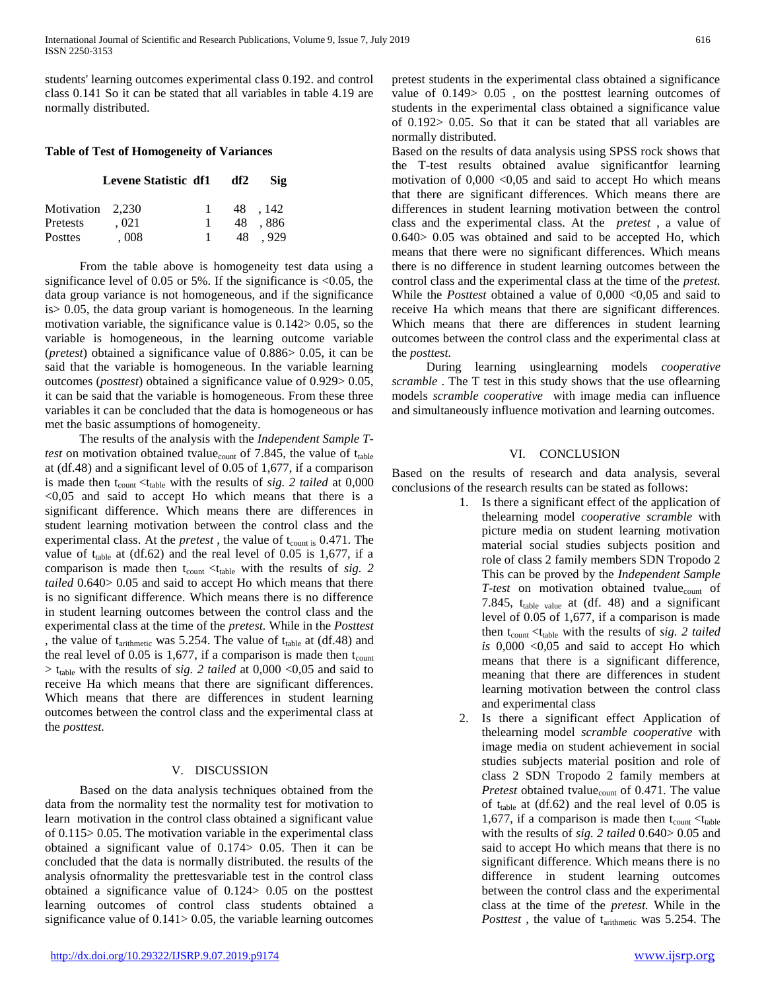students' learning outcomes experimental class 0.192. and control class 0.141 So it can be stated that all variables in table 4.19 are normally distributed.

## **Table of Test of Homogeneity of Variances**

|                  | Levene Statistic df1 df2 |    | Sig    |
|------------------|--------------------------|----|--------|
| Motivation 2.230 |                          |    | 48.142 |
| Pretests         | .021                     |    | 48.886 |
| Posttes          | .008                     | 48 | .929   |

 From the table above is homogeneity test data using a significance level of 0.05 or 5%. If the significance is <0.05, the data group variance is not homogeneous, and if the significance is> 0.05, the data group variant is homogeneous. In the learning motivation variable, the significance value is 0.142> 0.05, so the variable is homogeneous, in the learning outcome variable (*pretest*) obtained a significance value of 0.886> 0.05, it can be said that the variable is homogeneous. In the variable learning outcomes (*posttest*) obtained a significance value of 0.929> 0.05, it can be said that the variable is homogeneous. From these three variables it can be concluded that the data is homogeneous or has met the basic assumptions of homogeneity.

 The results of the analysis with the *Independent Sample Ttest* on motivation obtained tvalue<sub>count</sub> of 7.845, the value of  $t_{table}$ at (df.48) and a significant level of 0.05 of 1,677, if a comparison is made then  $t_{\text{count}} < t_{\text{table}}$  with the results of *sig. 2 tailed* at 0,000  $< 0.05$  and said to accept Ho which means that there is a significant difference. Which means there are differences in student learning motivation between the control class and the experimental class. At the *pretest*, the value of t<sub>count is</sub> 0.471. The value of  $t_{table}$  at (df.62) and the real level of 0.05 is 1,677, if a comparison is made then  $t_{\text{count}} < t_{\text{table}}$  with the results of *sig.* 2 *tailed* 0.640> 0.05 and said to accept Ho which means that there is no significant difference. Which means there is no difference in student learning outcomes between the control class and the experimental class at the time of the *pretest.* While in the *Posttest*  , the value of  $t_{arithmetic}$  was 5.254. The value of  $t_{table}$  at (df.48) and the real level of 0.05 is 1,677, if a comparison is made then  $t_{\text{count}}$  $> t_{table}$  with the results of *sig. 2 tailed* at 0,000 <0,05 and said to receive Ha which means that there are significant differences. Which means that there are differences in student learning outcomes between the control class and the experimental class at the *posttest.*

## V. DISCUSSION

 Based on the data analysis techniques obtained from the data from the normality test the normality test for motivation to learn motivation in the control class obtained a significant value of 0.115> 0.05. The motivation variable in the experimental class obtained a significant value of 0.174> 0.05. Then it can be concluded that the data is normally distributed. the results of the analysis ofnormality the prettesvariable test in the control class obtained a significance value of 0.124> 0.05 on the posttest learning outcomes of control class students obtained a significance value of 0.141 > 0.05, the variable learning outcomes

pretest students in the experimental class obtained a significance value of 0.149> 0.05 , on the posttest learning outcomes of students in the experimental class obtained a significance value of 0.192> 0.05. So that it can be stated that all variables are normally distributed.

Based on the results of data analysis using SPSS rock shows that the T-test results obtained avalue significantfor learning motivation of  $0,000 < 0,05$  and said to accept Ho which means that there are significant differences. Which means there are differences in student learning motivation between the control class and the experimental class. At the *pretest* , a value of 0.640> 0.05 was obtained and said to be accepted Ho, which means that there were no significant differences. Which means there is no difference in student learning outcomes between the control class and the experimental class at the time of the *pretest.*  While the *Posttest* obtained a value of 0,000 <0,05 and said to receive Ha which means that there are significant differences. Which means that there are differences in student learning outcomes between the control class and the experimental class at the *posttest.* 

 During learning usinglearning models *cooperative scramble* . The T test in this study shows that the use oflearning models *scramble cooperative* with image media can influence and simultaneously influence motivation and learning outcomes.

## VI. CONCLUSION

Based on the results of research and data analysis, several conclusions of the research results can be stated as follows:

- 1. Is there a significant effect of the application of thelearning model *cooperative scramble* with picture media on student learning motivation material social studies subjects position and role of class 2 family members SDN Tropodo 2 This can be proved by the *Independent Sample T-test* on motivation obtained tvalue<sub>count</sub> of 7.845,  $t_{table}$  value at (df. 48) and a significant level of 0.05 of 1,677, if a comparison is made then t<sub>count</sub> <t<sub>table</sub> with the results of *sig. 2 tailed is* 0,000 <0,05 and said to accept Ho which means that there is a significant difference, meaning that there are differences in student learning motivation between the control class and experimental class
- 2. Is there a significant effect Application of thelearning model *scramble cooperative* with image media on student achievement in social studies subjects material position and role of class 2 SDN Tropodo 2 family members at *Pretest* obtained tvalue<sub>count</sub> of 0.471. The value of t<sub>table</sub> at  $(df.62)$  and the real level of 0.05 is 1,677, if a comparison is made then  $t_{\text{count}} < t_{\text{table}}$ with the results of *sig. 2 tailed* 0.640> 0.05 and said to accept Ho which means that there is no significant difference. Which means there is no difference in student learning outcomes between the control class and the experimental class at the time of the *pretest.* While in the *Posttest*, the value of t<sub>arithmetic</sub> was 5.254. The